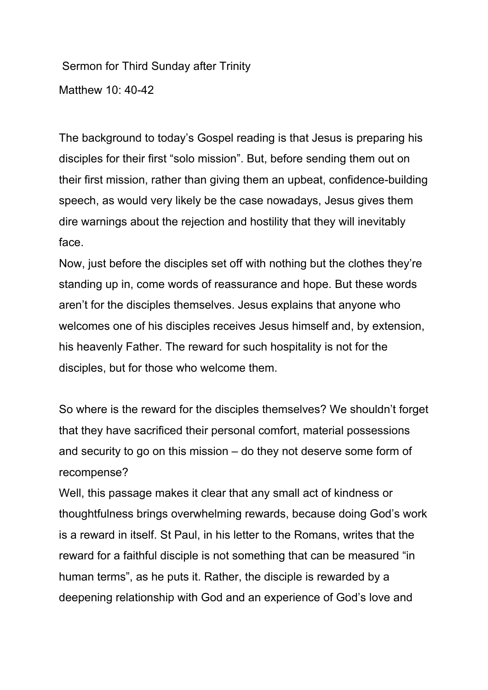Sermon for Third Sunday after Trinity Matthew 10: 40-42

The background to today's Gospel reading is that Jesus is preparing his disciples for their first "solo mission". But, before sending them out on their first mission, rather than giving them an upbeat, confidence-building speech, as would very likely be the case nowadays, Jesus gives them dire warnings about the rejection and hostility that they will inevitably face.

Now, just before the disciples set off with nothing but the clothes they're standing up in, come words of reassurance and hope. But these words aren't for the disciples themselves. Jesus explains that anyone who welcomes one of his disciples receives Jesus himself and, by extension, his heavenly Father. The reward for such hospitality is not for the disciples, but for those who welcome them.

So where is the reward for the disciples themselves? We shouldn't forget that they have sacrificed their personal comfort, material possessions and security to go on this mission – do they not deserve some form of recompense?

Well, this passage makes it clear that any small act of kindness or thoughtfulness brings overwhelming rewards, because doing God's work is a reward in itself. St Paul, in his letter to the Romans, writes that the reward for a faithful disciple is not something that can be measured "in human terms", as he puts it. Rather, the disciple is rewarded by a deepening relationship with God and an experience of God's love and